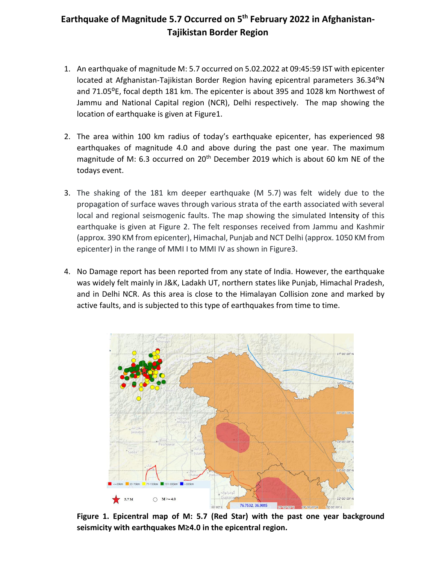## Earthquake of Magnitude 5.7 Occurred on 5<sup>th</sup> February 2022 in Afghanistan-**Tajikistan Border Region**

- 1. An earthquake of magnitude M: 5.7 occurred on 5.02.2022 at 09:45:59 IST with epicenter located at Afghanistan-Tajikistan Border Region having epicentral parameters 36.34°N and 71.05<sup>o</sup>E, focal depth 181 km. The epicenter is about 395 and 1028 km Northwest of Jammu and National Capital region (NCR), Delhi respectively. The map showing the location of earthquake is given at Figure1.
- 2. The area within 100 km radius of today's earthquake epicenter, has experienced 98 earthquakes of magnitude 4.0 and above during the past one year. The maximum magnitude of M: 6.3 occurred on  $20<sup>th</sup>$  December 2019 which is about 60 km NE of the todays event.
- 3. The shaking of the 181 km deeper earthquake (M 5.7) was felt widely due to the propagation of surface waves through various strata of the earth associated with several local and regional seismogenic faults. The map showing the simulated Intensity of this earthquake is given at Figure 2. The felt responses received from Jammu and Kashmir (approx. 390 KM from epicenter), Himachal, Punjab and NCT Delhi (approx. 1050 KM from epicenter) in the range of MMI I to MMI IV as shown in Figure3.
- 4. No Damage report has been reported from any state of India. However, the earthquake was widely felt mainly in J&K, Ladakh UT, northern states like Punjab, Himachal Pradesh, and in Delhi NCR. As this area is close to the Himalayan Collision zone and marked by active faults, and is subjected to this type of earthquakes from time to time.



**Figure 1. Epicentral map of M: 5.7 (Red Star) with the past one year background seismicity with earthquakes M≥4.0 in the epicentral region.**